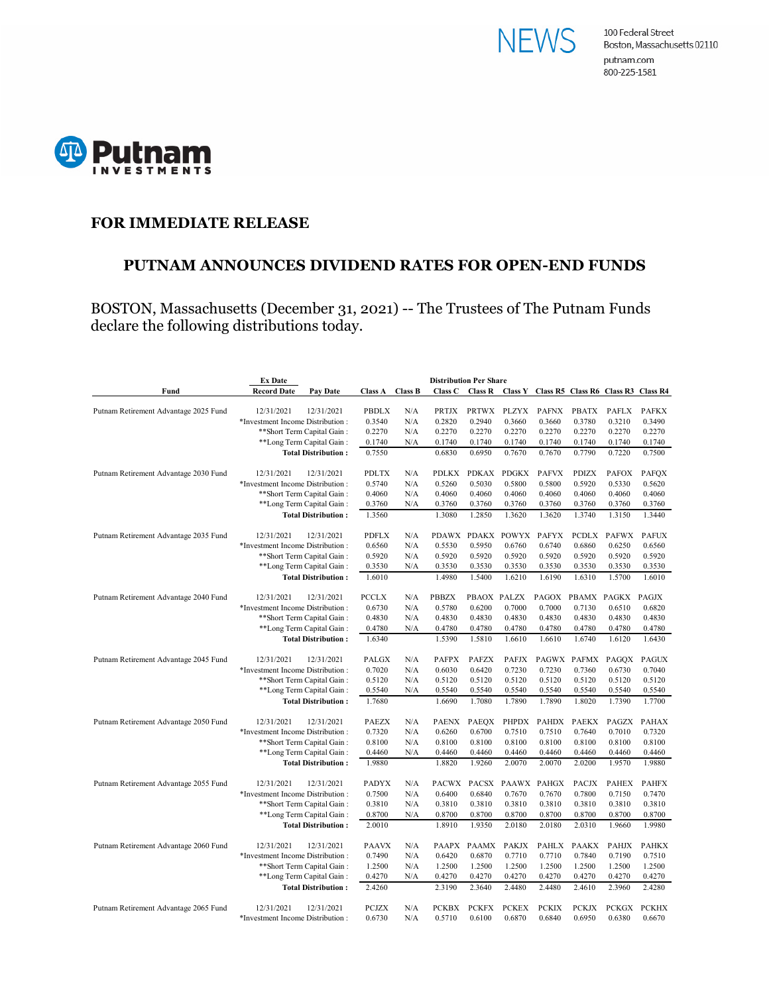



#### **FOR IMMEDIATE RELEASE**

#### **PUTNAM ANNOUNCES DIVIDEND RATES FOR OPEN-END FUNDS**

BOSTON, Massachusetts (December 31, 2021) -- The Trustees of The Putnam Funds declare the following distributions today.

|                                                                                        | <b>Ex Date</b>                                          | <b>Distribution Per Share</b> |                  |                |                  |                  |                  |                                             |                  |                  |                  |
|----------------------------------------------------------------------------------------|---------------------------------------------------------|-------------------------------|------------------|----------------|------------------|------------------|------------------|---------------------------------------------|------------------|------------------|------------------|
| Fund                                                                                   | <b>Record Date</b>                                      | Pay Date                      | <b>Class A</b>   | <b>Class B</b> | Class C          | <b>Class R</b>   |                  | Class Y Class R5 Class R6 Class R3 Class R4 |                  |                  |                  |
| Putnam Retirement Advantage 2025 Fund                                                  | 12/31/2021                                              | 12/31/2021                    | <b>PBDLX</b>     | N/A            | PRTJX            | <b>PRTWX</b>     | <b>PLZYX</b>     | <b>PAFNX</b>                                | <b>PBATX</b>     | <b>PAFLX</b>     | <b>PAFKX</b>     |
|                                                                                        | *Investment Income Distribution:                        |                               | 0.3540           | N/A            | 0.2820           | 0.2940           | 0.3660           | 0.3660                                      | 0.3780           | 0.3210           | 0.3490           |
|                                                                                        |                                                         |                               | 0.2270           | N/A            | 0.2270           | 0.2270           | 0.2270           | 0.2270                                      | 0.2270           | 0.2270           | 0.2270           |
| ** Short Term Capital Gain:<br>**Long Term Capital Gain:<br><b>Total Distribution:</b> |                                                         |                               | 0.1740           | N/A            | 0.1740           | 0.1740           | 0.1740           | 0.1740                                      | 0.1740           | 0.1740           | 0.1740           |
|                                                                                        |                                                         | 0.7550                        |                  | 0.6830         | 0.6950           | 0.7670           | 0.7670           | 0.7790                                      | 0.7220           | 0.7500           |                  |
|                                                                                        |                                                         |                               |                  |                |                  |                  |                  |                                             |                  |                  |                  |
| Putnam Retirement Advantage 2030 Fund                                                  | 12/31/2021                                              | 12/31/2021                    | <b>PDLTX</b>     | N/A            | PDLKX            | <b>PDKAX</b>     | <b>PDGKX</b>     | <b>PAFVX</b>                                | <b>PDIZX</b>     | <b>PAFOX</b>     | <b>PAFQX</b>     |
|                                                                                        | *Investment Income Distribution:                        |                               | 0.5740           | N/A            | 0.5260           | 0.5030           | 0.5800           | 0.5800                                      | 0.5920           | 0.5330           | 0.5620           |
|                                                                                        | ** Short Term Capital Gain:                             |                               | 0.4060           | N/A            | 0.4060           | 0.4060           | 0.4060           | 0.4060                                      | 0.4060           | 0.4060           | 0.4060           |
|                                                                                        | **Long Term Capital Gain:                               |                               | 0.3760           | N/A            | 0.3760           | 0.3760           | 0.3760           | 0.3760                                      | 0.3760           | 0.3760           | 0.3760           |
|                                                                                        |                                                         | <b>Total Distribution:</b>    | 1.3560           |                | 1.3080           | 1.2850           | 1.3620           | 1.3620                                      | 1.3740           | 1.3150           | 1.3440           |
| Putnam Retirement Advantage 2035 Fund                                                  | 12/31/2021                                              | 12/31/2021                    | <b>PDFLX</b>     | N/A            | <b>PDAWX</b>     | PDAKX            | <b>POWYX</b>     | <b>PAFYX</b>                                | <b>PCDLX</b>     | <b>PAFWX</b>     | <b>PAFUX</b>     |
|                                                                                        | *Investment Income Distribution:                        |                               | 0.6560           | N/A            | 0.5530           | 0.5950           | 0.6760           | 0.6740                                      | 0.6860           | 0.6250           | 0.6560           |
|                                                                                        |                                                         | **Short Term Capital Gain:    | 0.5920           | N/A            | 0.5920           | 0.5920           | 0.5920           | 0.5920                                      | 0.5920           | 0.5920           | 0.5920           |
|                                                                                        |                                                         | **Long Term Capital Gain:     | 0.3530           | N/A            | 0.3530           | 0.3530           | 0.3530           | 0.3530                                      | 0.3530           | 0.3530           | 0.3530           |
|                                                                                        |                                                         | <b>Total Distribution:</b>    | 1.6010           |                | 1.4980           | 1.5400           | 1.6210           | 1.6190                                      | 1.6310           | 1.5700           | 1.6010           |
|                                                                                        |                                                         |                               |                  |                |                  |                  |                  |                                             |                  |                  |                  |
| Putnam Retirement Advantage 2040 Fund                                                  | 12/31/2021                                              | 12/31/2021                    | <b>PCCLX</b>     | N/A            | <b>PBBZX</b>     | PBAOX            | PALZX            | PAGOX                                       | <b>PBAMX</b>     | PAGKX            | PAGJX            |
|                                                                                        | *Investment Income Distribution:                        |                               | 0.6730           | N/A            | 0.5780           | 0.6200           | 0.7000           | 0.7000                                      | 0.7130           | 0.6510           | 0.6820           |
|                                                                                        |                                                         | ** Short Term Capital Gain:   | 0.4830           | N/A            | 0.4830           | 0.4830           | 0.4830           | 0.4830                                      | 0.4830           | 0.4830           | 0.4830           |
|                                                                                        |                                                         | **Long Term Capital Gain:     | 0.4780           | N/A            | 0.4780           | 0.4780           | 0.4780           | 0.4780                                      | 0.4780           | 0.4780           | 0.4780           |
|                                                                                        | <b>Total Distribution:</b>                              |                               | 1.6340           |                | 1.5390           | 1.5810           | 1.6610           | 1.6610                                      | 1.6740           | 1.6120           | 1.6430           |
| Putnam Retirement Advantage 2045 Fund                                                  | 12/31/2021                                              | 12/31/2021                    | PALGX            | N/A            | <b>PAFPX</b>     | <b>PAFZX</b>     | <b>PAFJX</b>     | PAGWX                                       | <b>PAFMX</b>     | PAGOX            | <b>PAGUX</b>     |
|                                                                                        | *Investment Income Distribution:                        |                               | 0.7020           | N/A            | 0.6030           | 0.6420           | 0.7230           | 0.7230                                      | 0.7360           | 0.6730           | 0.7040           |
|                                                                                        |                                                         | ** Short Term Capital Gain:   | 0.5120           | N/A            | 0.5120           | 0.5120           | 0.5120           | 0.5120                                      | 0.5120           | 0.5120           | 0.5120           |
|                                                                                        | **Long Term Capital Gain:<br><b>Total Distribution:</b> |                               | 0.5540           | N/A            | 0.5540           | 0.5540           | 0.5540           | 0.5540                                      | 0.5540           | 0.5540           | 0.5540           |
|                                                                                        |                                                         |                               | 1.7680           |                | 1.6690           | 1.7080           | 1.7890           | 1.7890                                      | 1.8020           | 1.7390           | 1.7700           |
|                                                                                        |                                                         |                               |                  |                |                  |                  |                  |                                             |                  |                  |                  |
| Putnam Retirement Advantage 2050 Fund                                                  | 12/31/2021                                              | 12/31/2021                    | <b>PAEZX</b>     | N/A            | <b>PAENX</b>     | <b>PAEOX</b>     | <b>PHPDX</b>     | <b>PAHDX</b>                                | <b>PAEKX</b>     | PAGZX            | <b>PAHAX</b>     |
|                                                                                        | *Investment Income Distribution:                        | ** Short Term Capital Gain:   | 0.7320<br>0.8100 | N/A<br>N/A     | 0.6260<br>0.8100 | 0.6700<br>0.8100 | 0.7510<br>0.8100 | 0.7510<br>0.8100                            | 0.7640<br>0.8100 | 0.7010<br>0.8100 | 0.7320<br>0.8100 |
|                                                                                        |                                                         | **Long Term Capital Gain:     | 0.4460           | N/A            | 0.4460           | 0.4460           | 0.4460           | 0.4460                                      | 0.4460           | 0.4460           | 0.4460           |
|                                                                                        |                                                         | <b>Total Distribution:</b>    | 1.9880           |                | 1.8820           | 1.9260           | 2.0070           | 2.0070                                      | 2.0200           | 1.9570           | 1.9880           |
|                                                                                        |                                                         |                               |                  |                |                  |                  |                  |                                             |                  |                  |                  |
| Putnam Retirement Advantage 2055 Fund                                                  | 12/31/2021                                              | 12/31/2021                    | <b>PADYX</b>     | N/A            | PACWX            | PACSX            |                  | PAAWX PAHGX                                 | <b>PACJX</b>     | <b>PAHEX</b>     | <b>PAHFX</b>     |
|                                                                                        | *Investment Income Distribution:                        |                               | 0.7500           | N/A            | 0.6400           | 0.6840           | 0.7670           | 0.7670                                      | 0.7800           | 0.7150           | 0.7470           |
|                                                                                        |                                                         | ** Short Term Capital Gain:   | 0.3810           | N/A            | 0.3810           | 0.3810           | 0.3810           | 0.3810                                      | 0.3810           | 0.3810           | 0.3810           |
| **Long Term Capital Gain:<br><b>Total Distribution:</b>                                |                                                         | 0.8700                        | N/A              | 0.8700         | 0.8700           | 0.8700           | 0.8700           | 0.8700                                      | 0.8700           | 0.8700           |                  |
|                                                                                        |                                                         | 2.0010                        |                  | 1.8910         | 1.9350           | 2.0180           | 2.0180           | 2.0310                                      | 1.9660           | 1.9980           |                  |
| Putnam Retirement Advantage 2060 Fund                                                  | 12/31/2021                                              | 12/31/2021                    | <b>PAAVX</b>     | N/A            | PAAPX            | <b>PAAMX</b>     | <b>PAKJX</b>     | <b>PAHLX</b>                                | <b>PAAKX</b>     | <b>PAHJX</b>     | <b>PAHKX</b>     |
|                                                                                        | *Investment Income Distribution:                        |                               | 0.7490           | N/A            | 0.6420           | 0.6870           | 0.7710           | 0.7710                                      | 0.7840           | 0.7190           | 0.7510           |
| ** Short Term Capital Gain:                                                            |                                                         | 1.2500                        | N/A              | 1.2500         | 1.2500           | 1.2500           | 1.2500           | 1.2500                                      | 1.2500           | 1.2500           |                  |
|                                                                                        | **Long Term Capital Gain:<br><b>Total Distribution:</b> |                               | 0.4270           | N/A            | 0.4270           | 0.4270           | 0.4270           | 0.4270                                      | 0.4270           | 0.4270           | 0.4270           |
|                                                                                        |                                                         |                               | 2.4260           |                | 2.3190           | 2.3640           | 2.4480           | 2.4480                                      | 2.4610           | 2.3960           | 2.4280           |
|                                                                                        |                                                         |                               |                  |                |                  |                  |                  |                                             |                  |                  |                  |
| Putnam Retirement Advantage 2065 Fund                                                  | 12/31/2021                                              | 12/31/2021                    | <b>PCJZX</b>     | N/A            | <b>PCKBX</b>     | <b>PCKFX</b>     | <b>PCKEX</b>     | <b>PCKIX</b>                                | <b>PCKJX</b>     | <b>PCKGX</b>     | <b>PCKHX</b>     |
|                                                                                        | *Investment Income Distribution:                        |                               | 0.6730           | N/A            | 0.5710           | 0.6100           | 0.6870           | 0.6840                                      | 0.6950           | 0.6380           | 0.6670           |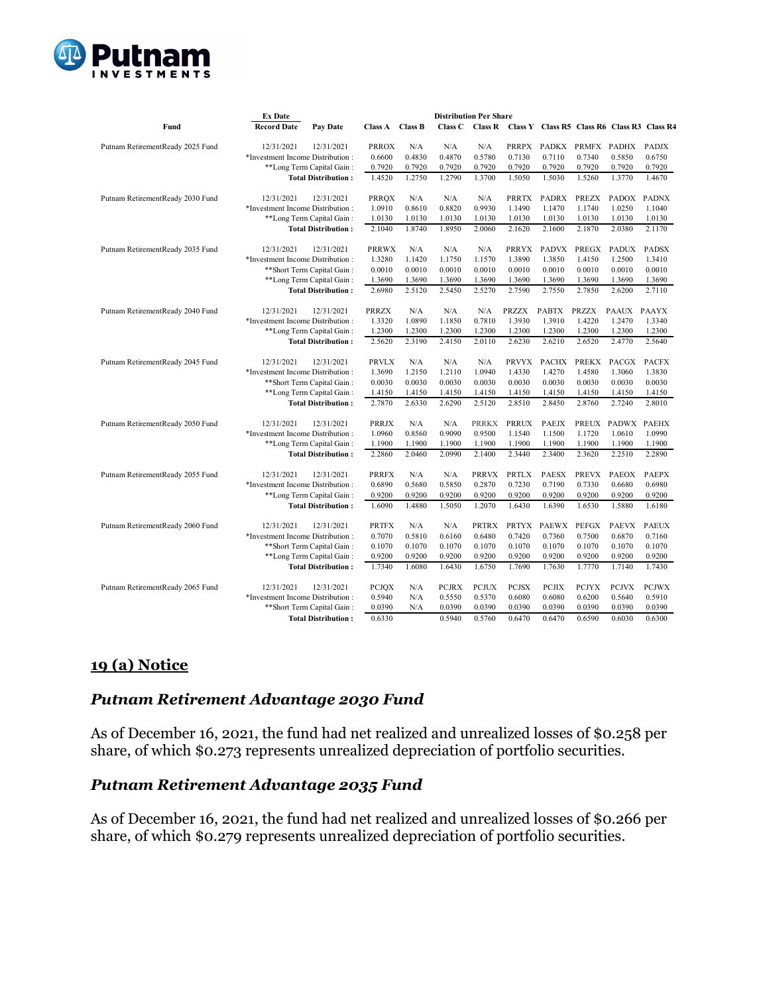

|                                  | <b>Ex Date</b>                        |              | <b>Distribution Per Share</b> |         |                |              |              |              |              |                                             |  |
|----------------------------------|---------------------------------------|--------------|-------------------------------|---------|----------------|--------------|--------------|--------------|--------------|---------------------------------------------|--|
| Fund                             | <b>Record Date</b><br><b>Pay Date</b> |              | Class A Class B               | Class C | <b>Class R</b> |              |              |              |              | Class Y Class R5 Class R6 Class R3 Class R4 |  |
| Putnam RetirementReady 2025 Fund | 12/31/2021<br>12/31/2021              | <b>PRROX</b> | N/A                           | N/A     | N/A            | <b>PRRPX</b> | <b>PADKX</b> | PRMFX        | PADHX        | <b>PADJX</b>                                |  |
|                                  | *Investment Income Distribution:      | 0.6600       | 0.4830                        | 0.4870  | 0.5780         | 0.7130       | 0.7110       | 0.7340       | 0.5850       | 0.6750                                      |  |
|                                  | **Long Term Capital Gain:             | 0.7920       | 0.7920                        | 0.7920  | 0.7920         | 0.7920       | 0.7920       | 0.7920       | 0.7920       | 0.7920                                      |  |
|                                  | <b>Total Distribution:</b>            | 1.4520       | 1.2750                        | 1.2790  | 1.3700         | 1.5050       | 1.5030       | 1.5260       | 1.3770       | 1.4670                                      |  |
| Putnam RetirementReady 2030 Fund | 12/31/2021<br>12/31/2021              | <b>PRROX</b> | N/A                           | N/A     | N/A            | <b>PRRTX</b> | <b>PADRX</b> | <b>PREZX</b> | <b>PADOX</b> | <b>PADNX</b>                                |  |
|                                  | *Investment Income Distribution:      | 1.0910       | 0.8610                        | 0.8820  | 0.9930         | 1.1490       | 1.1470       | 1.1740       | 1.0250       | 1.1040                                      |  |
|                                  | **Long Term Capital Gain:             | 1.0130       | 1.0130                        | 1.0130  | 1.0130         | 1.0130       | 1.0130       | 1.0130       | 1.0130       | 1.0130                                      |  |
|                                  | <b>Total Distribution:</b>            |              | 1.8740                        | 1.8950  | 2.0060         | 2.1620       | 2.1600       | 2.1870       | 2.0380       | 2.1170                                      |  |
| Putnam RetirementReady 2035 Fund | 12/31/2021<br>12/31/2021              | <b>PRRWX</b> | N/A                           | N/A     | N/A            | <b>PRRYX</b> | <b>PADVX</b> | PREGX        | <b>PADUX</b> | <b>PADSX</b>                                |  |
|                                  | *Investment Income Distribution:      | 1.3280       | 1.1420                        | 1.1750  | 1.1570         | 1.3890       | 1.3850       | 1.4150       | 1.2500       | 1.3410                                      |  |
|                                  | **Short Term Capital Gain:            | 0.0010       | 0.0010                        | 0.0010  | 0.0010         | 0.0010       | 0.0010       | 0.0010       | 0.0010       | 0.0010                                      |  |
|                                  | **Long Term Capital Gain:             | 1.3690       | 1.3690                        | 1.3690  | 1.3690         | 1.3690       | 1.3690       | 1.3690       | 1.3690       | 1.3690                                      |  |
|                                  | <b>Total Distribution:</b>            | 2.6980       | 2.5120                        | 2.5450  | 2.5270         | 2.7590       | 2.7550       | 2.7850       | 2.6200       | 2.7110                                      |  |
| Putnam RetirementReady 2040 Fund | 12/31/2021<br>12/31/2021              | <b>PRRZX</b> | N/A                           | N/A     | N/A            | <b>PRZZX</b> | <b>PABTX</b> | PRZZX        | PAAUX        | <b>PAAYX</b>                                |  |
|                                  | *Investment Income Distribution:      | 1.3320       | 1.0890                        | 1.1850  | 0.7810         | 1.3930       | 1.3910       | 1.4220       | 1.2470       | 1.3340                                      |  |
|                                  | **Long Term Capital Gain:             | 1.2300       | 1.2300                        | 1.2300  | 1.2300         | 1.2300       | 1.2300       | 1.2300       | 1.2300       | 1.2300                                      |  |
|                                  | <b>Total Distribution:</b>            | 2.5620       | 2.3190                        | 2.4150  | 2.0110         | 2.6230       | 2.6210       | 2.6520       | 2.4770       | 2.5640                                      |  |
| Putnam RetirementReady 2045 Fund | 12/31/2021<br>12/31/2021              | <b>PRVLX</b> | N/A                           | N/A     | N/A            | <b>PRVYX</b> | <b>PACHX</b> | <b>PREKX</b> | <b>PACGX</b> | <b>PACFX</b>                                |  |
|                                  | *Investment Income Distribution:      | 1.3690       | 1.2150                        | 1.2110  | 1.0940         | 1.4330       | 1.4270       | 1.4580       | 1.3060       | 1.3830                                      |  |
|                                  | **Short Term Capital Gain:            | 0.0030       | 0.0030                        | 0.0030  | 0.0030         | 0.0030       | 0.0030       | 0.0030       | 0.0030       | 0.0030                                      |  |
|                                  | **Long Term Capital Gain:             | 1.4150       | 1.4150                        | 1.4150  | 1.4150         | 1.4150       | 1.4150       | 1.4150       | 1.4150       | 1.4150                                      |  |
|                                  | <b>Total Distribution:</b>            | 2.7870       | 2.6330                        | 2.6290  | 2.5120         | 2.8510       | 2.8450       | 2.8760       | 2.7240       | 2.8010                                      |  |
| Putnam RetirementReady 2050 Fund | 12/31/2021<br>12/31/2021              | <b>PRRJX</b> | N/A                           | N/A     | <b>PRRKX</b>   | <b>PRRUX</b> | PAEJX        | <b>PREUX</b> | PADWX        | <b>PAEHX</b>                                |  |
|                                  | *Investment Income Distribution:      | 1.0960       | 0.8560                        | 0.9090  | 0.9500         | 1.1540       | 1.1500       | 1.1720       | 1.0610       | 1.0990                                      |  |
|                                  | **Long Term Capital Gain:             | 1.1900       | 1.1900                        | 1.1900  | 1.1900         | 1.1900       | 1.1900       | 1.1900       | 1.1900       | 1.1900                                      |  |
|                                  | <b>Total Distribution:</b>            | 2.2860       | 2.0460                        | 2.0990  | 2.1400         | 2.3440       | 2.3400       | 2.3620       | 2.2510       | 2.2890                                      |  |
| Putnam RetirementReady 2055 Fund | 12/31/2021<br>12/31/2021              | <b>PRRFX</b> | N/A                           | N/A     | <b>PRRVX</b>   | PRTLX        | <b>PAESX</b> | <b>PREVX</b> | <b>PAEOX</b> | <b>PAEPX</b>                                |  |
|                                  | *Investment Income Distribution:      | 0.6890       | 0.5680                        | 0.5850  | 0.2870         | 0.7230       | 0.7190       | 0.7330       | 0.6680       | 0.6980                                      |  |
|                                  | **Long Term Capital Gain:             | 0.9200       | 0.9200                        | 0.9200  | 0.9200         | 0.9200       | 0.9200       | 0.9200       | 0.9200       | 0.9200                                      |  |
|                                  | <b>Total Distribution:</b>            | 1.6090       | 1.4880                        | 1.5050  | 1.2070         | 1.6430       | 1.6390       | 1.6530       | 1.5880       | 1.6180                                      |  |
| Putnam RetirementReady 2060 Fund | 12/31/2021<br>12/31/2021              | <b>PRTFX</b> | N/A                           | N/A     | <b>PRTRX</b>   | <b>PRTYX</b> | <b>PAEWX</b> | <b>PEFGX</b> | <b>PAEVX</b> | <b>PAEUX</b>                                |  |
|                                  | *Investment Income Distribution:      | 0.7070       | 0.5810                        | 0.6160  | 0.6480         | 0.7420       | 0.7360       | 0.7500       | 0.6870       | 0.7160                                      |  |
|                                  | **Short Term Capital Gain:            | 0.1070       | 0.1070                        | 0.1070  | 0.1070         | 0.1070       | 0.1070       | 0.1070       | 0.1070       | 0.1070                                      |  |
|                                  | **Long Term Capital Gain:             | 0.9200       | 0.9200                        | 0.9200  | 0.9200         | 0.9200       | 0.9200       | 0.9200       | 0.9200       | 0.9200                                      |  |
|                                  | <b>Total Distribution:</b>            | 1.7340       | 1.6080                        | 1.6430  | 1.6750         | 1.7690       | 1.7630       | 1.7770       | 1.7140       | 1.7430                                      |  |
| Putnam RetirementReady 2065 Fund | 12/31/2021<br>12/31/2021              | <b>PCJOX</b> | N/A                           | PCJRX   | <b>PCJUX</b>   | <b>PCJSX</b> | <b>PCJIX</b> | <b>PCJYX</b> | <b>PCJVX</b> | <b>PCJWX</b>                                |  |
|                                  | *Investment Income Distribution:      | 0.5940       | N/A                           | 0.5550  | 0.5370         | 0.6080       | 0.6080       | 0.6200       | 0.5640       | 0.5910                                      |  |
|                                  | ** Short Term Capital Gain:           | 0.0390       | N/A                           | 0.0390  | 0.0390         | 0.0390       | 0.0390       | 0.0390       | 0.0390       | 0.0390                                      |  |
|                                  | <b>Total Distribution:</b>            | 0.6330       |                               | 0.5940  | 0.5760         | 0.6470       | 0.6470       | 0.6590       | 0.6030       | 0.6300                                      |  |

# **19 (a) Notice**

# *Putnam Retirement Advantage 2030 Fund*

As of December 16, 2021, the fund had net realized and unrealized losses of \$0.258 per share, of which \$0.273 represents unrealized depreciation of portfolio securities.

## *Putnam Retirement Advantage 2035 Fund*

As of December 16, 2021, the fund had net realized and unrealized losses of \$0.266 per share, of which \$0.279 represents unrealized depreciation of portfolio securities.